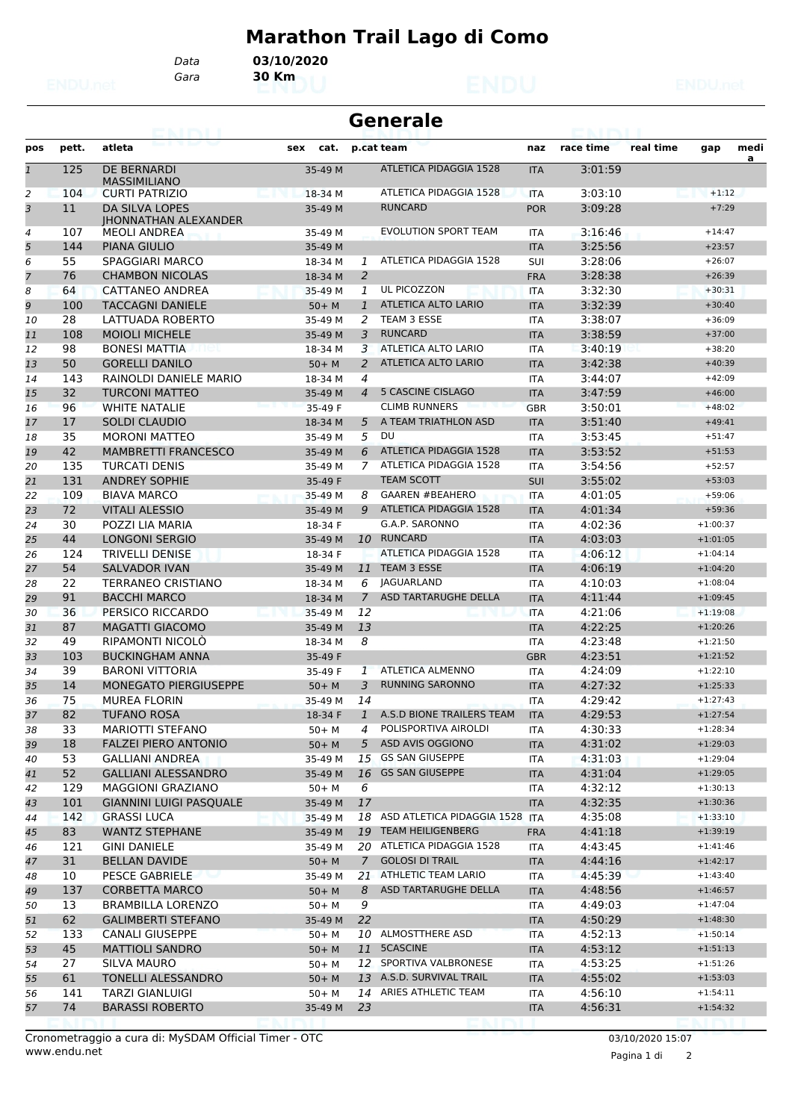## **Marathon Trail Lago di Como**

*Gara* **30 Km** *Data* **03/10/2020**

| Generale |  |
|----------|--|
|----------|--|

| pos          | pett. | atleta                                               | cat.<br>sex |                | p.cat team                        | naz        | race time | real time | gap        | medi<br>a |
|--------------|-------|------------------------------------------------------|-------------|----------------|-----------------------------------|------------|-----------|-----------|------------|-----------|
| $\mathbf{1}$ | 125   | DE BERNARDI<br><b>MASSIMILIANO</b>                   | 35-49 M     |                | <b>ATLETICA PIDAGGIA 1528</b>     | <b>ITA</b> | 3:01:59   |           |            |           |
| 2            | 104   | <b>CURTI PATRIZIO</b>                                | 18-34 M     |                | ATLETICA PIDAGGIA 1528            | <b>ITA</b> | 3:03:10   |           | $+1:12$    |           |
| 3            | 11    | <b>DA SILVA LOPES</b><br><b>IHONNATHAN ALEXANDER</b> | 35-49 M     |                | <b>RUNCARD</b>                    | <b>POR</b> | 3:09:28   |           | $+7:29$    |           |
| 4            | 107   | <b>MEOLI ANDREA</b>                                  | 35-49 M     |                | <b>EVOLUTION SPORT TEAM</b>       | <b>ITA</b> | 3:16:46   |           | $+14:47$   |           |
| 5            | 144   | <b>PIANA GIULIO</b>                                  | 35-49 M     |                |                                   | <b>ITA</b> | 3:25:56   |           | $+23:57$   |           |
| 6            | 55    | <b>SPAGGIARI MARCO</b>                               | 18-34 M     | 1              | ATLETICA PIDAGGIA 1528            | <b>SUI</b> | 3:28:06   |           | $+26:07$   |           |
| 7            | 76    | <b>CHAMBON NICOLAS</b>                               | 18-34 M     | 2              |                                   | <b>FRA</b> | 3:28:38   |           | $+26:39$   |           |
| 8            | 64    | CATTANEO ANDREA                                      | 35-49 M     | 1              | UL PICOZZON                       | <b>ITA</b> | 3:32:30   |           | $+30:31$   |           |
| 9            | 100   | <b>TACCAGNI DANIELE</b>                              | $50+$ M     | $\mathbf{1}$   | ATLETICA ALTO LARIO               | <b>ITA</b> | 3:32:39   |           | $+30:40$   |           |
| 10           | 28    | LATTUADA ROBERTO                                     | 35-49 M     | 2              | TEAM 3 ESSE                       | <b>ITA</b> | 3:38:07   |           | $+36:09$   |           |
| 11           | 108   | <b>MOIOLI MICHELE</b>                                | 35-49 M     | 3              | <b>RUNCARD</b>                    | <b>ITA</b> | 3:38:59   |           | $+37:00$   |           |
| 12           | 98    | <b>BONESI MATTIA</b><br>161                          | 18-34 M     | 3              | ATLETICA ALTO LARIO               | <b>ITA</b> | 3:40:19   |           | $+38:20$   |           |
| 13           | 50    | <b>GORELLI DANILO</b>                                | $50+ M$     | 2              | ATLETICA ALTO LARIO               | <b>ITA</b> | 3:42:38   |           | $+40:39$   |           |
| 14           | 143   | RAINOLDI DANIELE MARIO                               | 18-34 M     | 4              |                                   | ITA        | 3:44:07   |           | $+42:09$   |           |
| 15           | 32    | <b>TURCONI MATTEO</b>                                | 35-49 M     | $\overline{4}$ | 5 CASCINE CISLAGO                 | <b>ITA</b> | 3:47:59   |           | $+46:00$   |           |
| 16           | 96    | <b>WHITE NATALIE</b>                                 | 35-49 F     |                | <b>CLIMB RUNNERS</b>              | <b>GBR</b> | 3:50:01   |           | $+48:02$   |           |
| 17           | 17    | <b>SOLDI CLAUDIO</b>                                 | 18-34 M     | 5              | A TEAM TRIATHLON ASD              | <b>ITA</b> | 3:51:40   |           | $+49:41$   |           |
| 18           | 35    | <b>MORONI MATTEO</b>                                 | 35-49 M     | 5              | DU                                | <b>ITA</b> | 3:53:45   |           | $+51:47$   |           |
| 19           | 42    | <b>MAMBRETTI FRANCESCO</b>                           | 35-49 M     | 6              | ATLETICA PIDAGGIA 1528            | <b>ITA</b> | 3:53:52   |           | $+51:53$   |           |
| 20           | 135   | <b>TURCATI DENIS</b>                                 | 35-49 M     | 7              | ATLETICA PIDAGGIA 1528            | <b>ITA</b> | 3:54:56   |           | $+52:57$   |           |
| 21           | 131   | <b>ANDREY SOPHIE</b>                                 | 35-49 F     |                | <b>TEAM SCOTT</b>                 | <b>SUI</b> | 3:55:02   |           | $+53:03$   |           |
| 22           | 109   | <b>BIAVA MARCO</b>                                   | 35-49 M     | 8              | <b>GAAREN #BEAHERO</b>            | <b>ITA</b> | 4:01:05   |           | $+59:06$   |           |
| 23           | 72    | <b>VITALI ALESSIO</b>                                | 35-49 M     | 9              | <b>ATLETICA PIDAGGIA 1528</b>     | <b>ITA</b> | 4:01:34   |           | $+59:36$   |           |
| 24           | 30    | POZZI LIA MARIA                                      | 18-34 F     |                | G.A.P. SARONNO                    | <b>ITA</b> | 4:02:36   |           | $+1:00:37$ |           |
| 25           | 44    | <b>LONGONI SERGIO</b>                                | 35-49 M     | 10             | <b>RUNCARD</b>                    | <b>ITA</b> | 4:03:03   |           | $+1:01:05$ |           |
| 26           | 124   | <b>TRIVELLI DENISE</b>                               | 18-34 F     |                | <b>ATLETICA PIDAGGIA 1528</b>     | <b>ITA</b> | 4:06:12   |           | $+1:04:14$ |           |
| 27           | 54    | <b>SALVADOR IVAN</b>                                 | 35-49 M     | 11             | <b>TEAM 3 ESSE</b>                | <b>ITA</b> | 4:06:19   |           | $+1:04:20$ |           |
| 28           | 22    | <b>TERRANEO CRISTIANO</b>                            | 18-34 M     | 6              | <b>JAGUARLAND</b>                 | <b>ITA</b> | 4:10:03   |           | $+1:08:04$ |           |
| 29           | 91    | <b>BACCHI MARCO</b>                                  | 18-34 M     | $\overline{7}$ | ASD TARTARUGHE DELLA              | <b>ITA</b> | 4:11:44   |           | $+1:09:45$ |           |
| 30           | 36    | PERSICO RICCARDO                                     | 35-49 M     | 12             |                                   | <b>ITA</b> | 4:21:06   |           | $+1:19:08$ |           |
| 31           | 87    | <b>MAGATTI GIACOMO</b>                               | 35-49 M     | 13             |                                   | <b>ITA</b> | 4:22:25   |           | $+1:20:26$ |           |
| 32           | 49    | <b>RIPAMONTI NICOLO</b>                              | 18-34 M     | 8              |                                   | <b>ITA</b> | 4:23:48   |           | $+1:21:50$ |           |
| 33           | 103   | <b>BUCKINGHAM ANNA</b>                               | 35-49 F     |                |                                   | <b>GBR</b> | 4:23:51   |           | $+1:21:52$ |           |
| 34           | 39    | <b>BARONI VITTORIA</b>                               | 35-49 F     | $\mathbf{1}$   | ATLETICA ALMENNO                  | <b>ITA</b> | 4:24:09   |           | $+1:22:10$ |           |
| 35           | 14    | MONEGATO PIERGIUSEPPE                                | $50+ M$     | 3              | <b>RUNNING SARONNO</b>            | <b>ITA</b> | 4:27:32   |           | $+1:25:33$ |           |
| 36           | 75    | <b>MUREA FLORIN</b>                                  | 35-49 M     | 14             |                                   | <b>ITA</b> | 4:29:42   |           | $+1:27:43$ |           |
| 37           | 82    | <b>TUFANO ROSA</b>                                   | 18-34 F     | $\mathbf{1}$   | A.S.D BIONE TRAILERS TEAM         | <b>ITA</b> | 4:29:53   |           | $+1:27:54$ |           |
| 38           | 33    | MARIOTTI STEFANO                                     | 50+ M       | 4              | POLISPORTIVA AIROLDI              | ITA        | 4:30:33   |           | $+1:28:34$ |           |
| 39           | 18    | <b>FALZEI PIERO ANTONIO</b>                          | $50+ M$     | 5              | ASD AVIS OGGIONO                  | <b>ITA</b> | 4:31:02   |           | $+1:29:03$ |           |
| 40           | 53    | <b>GALLIANI ANDREA</b>                               | 35-49 M     | 15             | <b>GS SAN GIUSEPPE</b>            | ITA        | 4:31:03   |           | $+1:29:04$ |           |
| 41           | 52    | <b>GALLIANI ALESSANDRO</b>                           | 35-49 M     | 16             | <b>GS SAN GIUSEPPE</b>            | <b>ITA</b> | 4:31:04   |           | $+1:29:05$ |           |
| 42           | 129   | MAGGIONI GRAZIANO                                    | $50+M$      | 6              |                                   | ITA        | 4:32:12   |           | $+1:30:13$ |           |
| 43           | 101   | <b>GIANNINI LUIGI PASQUALE</b>                       | 35-49 M     | 17             |                                   | <b>ITA</b> | 4:32:35   |           | $+1:30:36$ |           |
| 44           | 142   | <b>GRASSI LUCA</b>                                   | 35-49 M     |                | 18 ASD ATLETICA PIDAGGIA 1528 ITA |            | 4:35:08   |           | $+1:33:10$ |           |
| 45           | 83    | <b>WANTZ STEPHANE</b>                                | 35-49 M     |                | 19 TEAM HEILIGENBERG              | <b>FRA</b> | 4:41:18   |           | $+1:39:19$ |           |
| 46           | 121   | <b>GINI DANIELE</b>                                  | 35-49 M     |                | 20 ATLETICA PIDAGGIA 1528         | ITA        | 4:43:45   |           | $+1:41:46$ |           |
| 47           | 31    | <b>BELLAN DAVIDE</b>                                 | $50+ M$     | $\mathcal{I}$  | <b>GOLOSI DI TRAIL</b>            | <b>ITA</b> | 4:44:16   |           | $+1:42:17$ |           |
| 48           | 10    | PESCE GABRIELE                                       | 35-49 M     |                | 21 ATHLETIC TEAM LARIO            | ITA        | 4:45:39   |           | $+1:43:40$ |           |
| 49           | 137   | <b>CORBETTA MARCO</b>                                | $50+ M$     | 8              | ASD TARTARUGHE DELLA              | <b>ITA</b> | 4:48:56   |           | $+1:46:57$ |           |
| 50           | 13    | <b>BRAMBILLA LORENZO</b>                             | $50+ M$     | 9              |                                   | ITA        | 4:49:03   |           | $+1:47:04$ |           |
| 51           | 62    | <b>GALIMBERTI STEFANO</b>                            | 35-49 M     | 22             |                                   | <b>ITA</b> | 4:50:29   |           | $+1:48:30$ |           |
| 52           | 133   | <b>CANALI GIUSEPPE</b>                               | $50+M$      |                | 10 ALMOSTTHERE ASD                | ITA        | 4:52:13   |           | $+1:50:14$ |           |
| 53           | 45    | <b>MATTIOLI SANDRO</b>                               | $50+ M$     |                | 11 5CASCINE                       | <b>ITA</b> | 4:53:12   |           | $+1:51:13$ |           |
| 54           | 27    | SILVA MAURO                                          | $50+M$      |                | 12 SPORTIVA VALBRONESE            | ITA        | 4:53:25   |           | $+1:51:26$ |           |
| 55           | 61    | TONELLI ALESSANDRO                                   | $50+M$      |                | 13 A.S.D. SURVIVAL TRAIL          | <b>ITA</b> | 4:55:02   |           | $+1:53:03$ |           |
| 56           | 141   | <b>TARZI GIANLUIGI</b>                               | $50+M$      |                | 14 ARIES ATHLETIC TEAM            | ITA        | 4:56:10   |           | $+1:54:11$ |           |
| 57           | 74    | <b>BARASSI ROBERTO</b>                               | 35-49 M     | 23             |                                   | <b>ITA</b> | 4:56:31   |           | $+1:54:32$ |           |
|              |       |                                                      |             |                |                                   |            |           |           |            |           |

Pagina 1 di 2